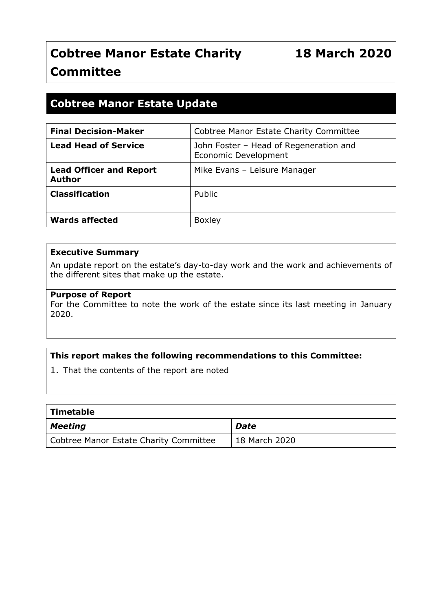# **Cobtree Manor Estate Charity Committee**

# **Cobtree Manor Estate Update**

| <b>Final Decision-Maker</b>                     | <b>Cobtree Manor Estate Charity Committee</b>                         |
|-------------------------------------------------|-----------------------------------------------------------------------|
| <b>Lead Head of Service</b>                     | John Foster - Head of Regeneration and<br><b>Economic Development</b> |
| <b>Lead Officer and Report</b><br><b>Author</b> | Mike Evans - Leisure Manager                                          |
| <b>Classification</b>                           | Public                                                                |
| <b>Wards affected</b>                           | <b>Boxley</b>                                                         |

#### **Executive Summary**

An update report on the estate's day-to-day work and the work and achievements of the different sites that make up the estate.

#### **Purpose of Report**

For the Committee to note the work of the estate since its last meeting in January 2020.

#### **This report makes the following recommendations to this Committee:**

1. That the contents of the report are noted

| Timetable                              |                     |
|----------------------------------------|---------------------|
| Meeting                                | Date                |
| Cobtree Manor Estate Charity Committee | $\pm$ 18 March 2020 |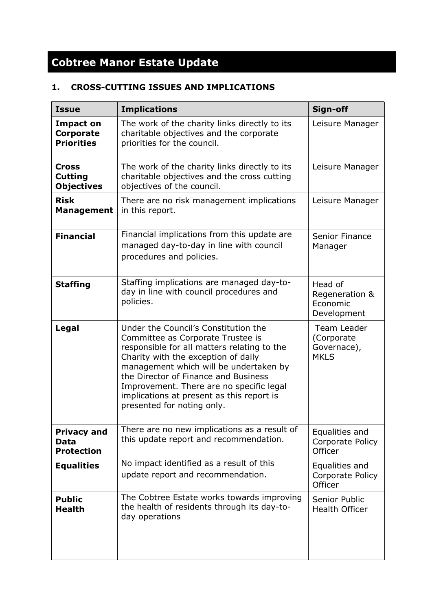# **Cobtree Manor Estate Update**

# **1. CROSS-CUTTING ISSUES AND IMPLICATIONS**

| <b>Issue</b>                                              | <b>Implications</b>                                                                                                                                                                                                                                                                                                                                                      | Sign-off                                                |
|-----------------------------------------------------------|--------------------------------------------------------------------------------------------------------------------------------------------------------------------------------------------------------------------------------------------------------------------------------------------------------------------------------------------------------------------------|---------------------------------------------------------|
| <b>Impact on</b><br><b>Corporate</b><br><b>Priorities</b> | The work of the charity links directly to its<br>charitable objectives and the corporate<br>priorities for the council.                                                                                                                                                                                                                                                  | Leisure Manager                                         |
| <b>Cross</b><br><b>Cutting</b><br><b>Objectives</b>       | The work of the charity links directly to its<br>charitable objectives and the cross cutting<br>objectives of the council.                                                                                                                                                                                                                                               | Leisure Manager                                         |
| <b>Risk</b><br><b>Management</b>                          | There are no risk management implications<br>in this report.                                                                                                                                                                                                                                                                                                             | Leisure Manager                                         |
| <b>Financial</b>                                          | Financial implications from this update are<br>managed day-to-day in line with council<br>procedures and policies.                                                                                                                                                                                                                                                       | <b>Senior Finance</b><br>Manager                        |
| <b>Staffing</b>                                           | Staffing implications are managed day-to-<br>day in line with council procedures and<br>policies.                                                                                                                                                                                                                                                                        | Head of<br>Regeneration &<br>Economic<br>Development    |
| Legal                                                     | Under the Council's Constitution the<br>Committee as Corporate Trustee is<br>responsible for all matters relating to the<br>Charity with the exception of daily<br>management which will be undertaken by<br>the Director of Finance and Business<br>Improvement. There are no specific legal<br>implications at present as this report is<br>presented for noting only. | Team Leader<br>(Corporate<br>Governace),<br><b>MKLS</b> |
| <b>Privacy and</b><br>Data<br><b>Protection</b>           | There are no new implications as a result of<br>this update report and recommendation.                                                                                                                                                                                                                                                                                   | Equalities and<br>Corporate Policy<br>Officer           |
| <b>Equalities</b>                                         | No impact identified as a result of this<br>update report and recommendation.                                                                                                                                                                                                                                                                                            | Equalities and<br>Corporate Policy<br>Officer           |
| <b>Public</b><br><b>Health</b>                            | The Cobtree Estate works towards improving<br>the health of residents through its day-to-<br>day operations                                                                                                                                                                                                                                                              | Senior Public<br>Health Officer                         |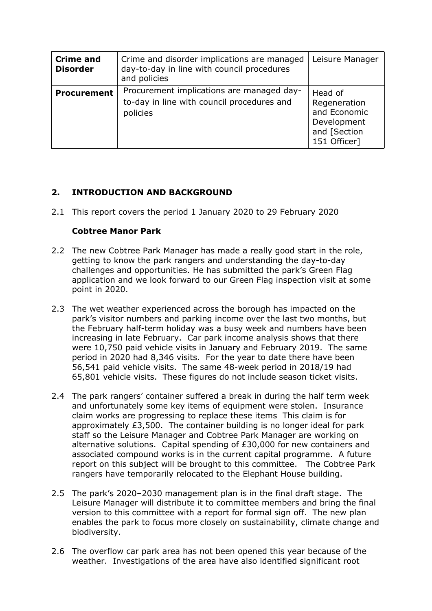| <b>Crime and</b><br><b>Disorder</b> | Crime and disorder implications are managed<br>day-to-day in line with council procedures<br>and policies | Leisure Manager                                                                        |
|-------------------------------------|-----------------------------------------------------------------------------------------------------------|----------------------------------------------------------------------------------------|
| <b>Procurement</b>                  | Procurement implications are managed day-<br>to-day in line with council procedures and<br>policies       | Head of<br>Regeneration<br>and Economic<br>Development<br>and [Section<br>151 Officer] |

# **2. INTRODUCTION AND BACKGROUND**

2.1 This report covers the period 1 January 2020 to 29 February 2020

#### **Cobtree Manor Park**

- 2.2 The new Cobtree Park Manager has made a really good start in the role, getting to know the park rangers and understanding the day-to-day challenges and opportunities. He has submitted the park's Green Flag application and we look forward to our Green Flag inspection visit at some point in 2020.
- 2.3 The wet weather experienced across the borough has impacted on the park's visitor numbers and parking income over the last two months, but the February half-term holiday was a busy week and numbers have been increasing in late February. Car park income analysis shows that there were 10,750 paid vehicle visits in January and February 2019. The same period in 2020 had 8,346 visits. For the year to date there have been 56,541 paid vehicle visits. The same 48-week period in 2018/19 had 65,801 vehicle visits. These figures do not include season ticket visits.
- 2.4 The park rangers' container suffered a break in during the half term week and unfortunately some key items of equipment were stolen. Insurance claim works are progressing to replace these items This claim is for approximately £3,500. The container building is no longer ideal for park staff so the Leisure Manager and Cobtree Park Manager are working on alternative solutions. Capital spending of £30,000 for new containers and associated compound works is in the current capital programme. A future report on this subject will be brought to this committee. The Cobtree Park rangers have temporarily relocated to the Elephant House building.
- 2.5 The park's 2020–2030 management plan is in the final draft stage. The Leisure Manager will distribute it to committee members and bring the final version to this committee with a report for formal sign off. The new plan enables the park to focus more closely on sustainability, climate change and biodiversity.
- 2.6 The overflow car park area has not been opened this year because of the weather. Investigations of the area have also identified significant root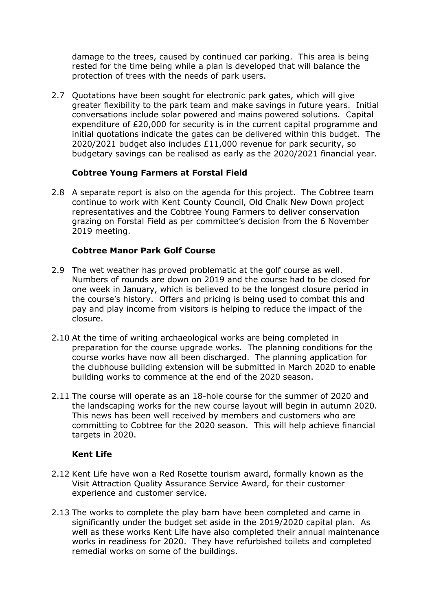damage to the trees, caused by continued car parking. This area is being rested for the time being while a plan is developed that will balance the protection of trees with the needs of park users.

2.7 Quotations have been sought for electronic park gates, which will give greater flexibility to the park team and make savings in future years. Initial conversations include solar powered and mains powered solutions. Capital expenditure of £20,000 for security is in the current capital programme and initial quotations indicate the gates can be delivered within this budget. The 2020/2021 budget also includes £11,000 revenue for park security, so budgetary savings can be realised as early as the 2020/2021 financial year.

#### **Cobtree Young Farmers at Forstal Field**

2.8 A separate report is also on the agenda for this project. The Cobtree team continue to work with Kent County Council, Old Chalk New Down project representatives and the Cobtree Young Farmers to deliver conservation grazing on Forstal Field as per committee's decision from the 6 November 2019 meeting.

#### **Cobtree Manor Park Golf Course**

- 2.9 The wet weather has proved problematic at the golf course as well. Numbers of rounds are down on 2019 and the course had to be closed for one week in January, which is believed to be the longest closure period in the course's history. Offers and pricing is being used to combat this and pay and play income from visitors is helping to reduce the impact of the closure.
- 2.10 At the time of writing archaeological works are being completed in preparation for the course upgrade works. The planning conditions for the course works have now all been discharged. The planning application for the clubhouse building extension will be submitted in March 2020 to enable building works to commence at the end of the 2020 season.
- 2.11 The course will operate as an 18-hole course for the summer of 2020 and the landscaping works for the new course layout will begin in autumn 2020. This news has been well received by members and customers who are committing to Cobtree for the 2020 season. This will help achieve financial targets in 2020.

#### **Kent Life**

- 2.12 Kent Life have won a Red Rosette tourism award, formally known as the Visit Attraction Quality Assurance Service Award, for their customer experience and customer service.
- 2.13 The works to complete the play barn have been completed and came in significantly under the budget set aside in the 2019/2020 capital plan. As well as these works Kent Life have also completed their annual maintenance works in readiness for 2020. They have refurbished toilets and completed remedial works on some of the buildings.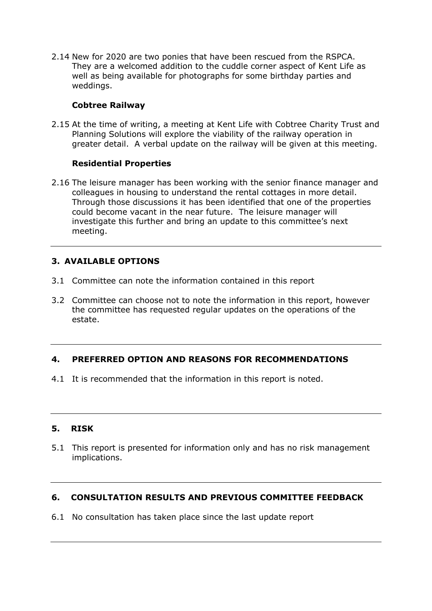2.14 New for 2020 are two ponies that have been rescued from the RSPCA. They are a welcomed addition to the cuddle corner aspect of Kent Life as well as being available for photographs for some birthday parties and weddings.

#### **Cobtree Railway**

2.15 At the time of writing, a meeting at Kent Life with Cobtree Charity Trust and Planning Solutions will explore the viability of the railway operation in greater detail. A verbal update on the railway will be given at this meeting.

# **Residential Properties**

2.16 The leisure manager has been working with the senior finance manager and colleagues in housing to understand the rental cottages in more detail. Through those discussions it has been identified that one of the properties could become vacant in the near future. The leisure manager will investigate this further and bring an update to this committee's next meeting.

# **3. AVAILABLE OPTIONS**

- 3.1 Committee can note the information contained in this report
- 3.2 Committee can choose not to note the information in this report, however the committee has requested regular updates on the operations of the estate.

# **4. PREFERRED OPTION AND REASONS FOR RECOMMENDATIONS**

4.1 It is recommended that the information in this report is noted.

#### **5. RISK**

5.1 This report is presented for information only and has no risk management implications.

#### **6. CONSULTATION RESULTS AND PREVIOUS COMMITTEE FEEDBACK**

6.1 No consultation has taken place since the last update report